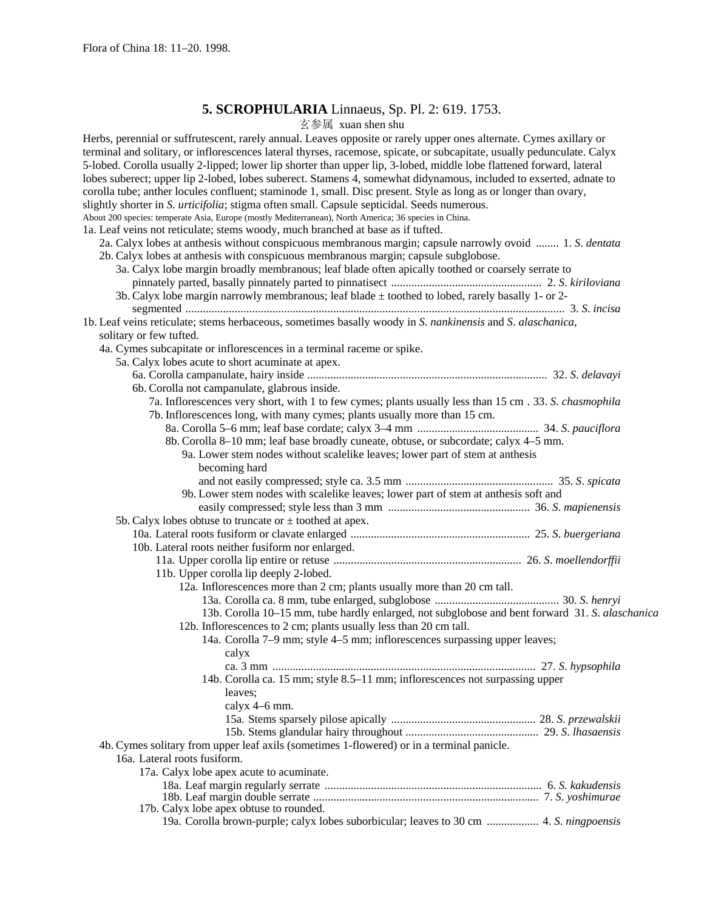# **5. SCROPHULARIA** Linnaeus, Sp. Pl. 2: 619. 1753.

玄参属 xuan shen shu

| $\triangle \gg \sqrt{2}$ Augui Silvii Silu                                                                                                                                                                                                                                                                                                                                                                                                                                                                                                                                                                                                                                                                                                                                                                                                                                                                                                                                                                                                                                                                                                                                                                                   |  |
|------------------------------------------------------------------------------------------------------------------------------------------------------------------------------------------------------------------------------------------------------------------------------------------------------------------------------------------------------------------------------------------------------------------------------------------------------------------------------------------------------------------------------------------------------------------------------------------------------------------------------------------------------------------------------------------------------------------------------------------------------------------------------------------------------------------------------------------------------------------------------------------------------------------------------------------------------------------------------------------------------------------------------------------------------------------------------------------------------------------------------------------------------------------------------------------------------------------------------|--|
| Herbs, perennial or suffrutescent, rarely annual. Leaves opposite or rarely upper ones alternate. Cymes axillary or<br>terminal and solitary, or inflorescences lateral thyrses, racemose, spicate, or subcapitate, usually pedunculate. Calyx<br>5-lobed. Corolla usually 2-lipped; lower lip shorter than upper lip, 3-lobed, middle lobe flattened forward, lateral<br>lobes suberect; upper lip 2-lobed, lobes suberect. Stamens 4, somewhat didynamous, included to exserted, adnate to<br>corolla tube; anther locules confluent; staminode 1, small. Disc present. Style as long as or longer than ovary,<br>slightly shorter in S. <i>urticifolia</i> ; stigma often small. Capsule septicidal. Seeds numerous.<br>About 200 species: temperate Asia, Europe (mostly Mediterranean), North America; 36 species in China.<br>1a. Leaf veins not reticulate; stems woody, much branched at base as if tufted.<br>2a. Calyx lobes at anthesis without conspicuous membranous margin; capsule narrowly ovoid  1. S. dentata<br>2b. Calyx lobes at anthesis with conspicuous membranous margin; capsule subglobose.<br>3a. Calyx lobe margin broadly membranous; leaf blade often apically toothed or coarsely serrate to |  |
|                                                                                                                                                                                                                                                                                                                                                                                                                                                                                                                                                                                                                                                                                                                                                                                                                                                                                                                                                                                                                                                                                                                                                                                                                              |  |
| 3b. Calyx lobe margin narrowly membranous; leaf blade $\pm$ toothed to lobed, rarely basally 1- or 2-                                                                                                                                                                                                                                                                                                                                                                                                                                                                                                                                                                                                                                                                                                                                                                                                                                                                                                                                                                                                                                                                                                                        |  |
|                                                                                                                                                                                                                                                                                                                                                                                                                                                                                                                                                                                                                                                                                                                                                                                                                                                                                                                                                                                                                                                                                                                                                                                                                              |  |
| 1b. Leaf veins reticulate; stems herbaceous, sometimes basally woody in S. nankinensis and S. alaschanica,                                                                                                                                                                                                                                                                                                                                                                                                                                                                                                                                                                                                                                                                                                                                                                                                                                                                                                                                                                                                                                                                                                                   |  |
| solitary or few tufted.                                                                                                                                                                                                                                                                                                                                                                                                                                                                                                                                                                                                                                                                                                                                                                                                                                                                                                                                                                                                                                                                                                                                                                                                      |  |
| 4a. Cymes subcapitate or inflorescences in a terminal raceme or spike.                                                                                                                                                                                                                                                                                                                                                                                                                                                                                                                                                                                                                                                                                                                                                                                                                                                                                                                                                                                                                                                                                                                                                       |  |
| 5a. Calyx lobes acute to short acuminate at apex.                                                                                                                                                                                                                                                                                                                                                                                                                                                                                                                                                                                                                                                                                                                                                                                                                                                                                                                                                                                                                                                                                                                                                                            |  |
|                                                                                                                                                                                                                                                                                                                                                                                                                                                                                                                                                                                                                                                                                                                                                                                                                                                                                                                                                                                                                                                                                                                                                                                                                              |  |
| 6b. Corolla not campanulate, glabrous inside.                                                                                                                                                                                                                                                                                                                                                                                                                                                                                                                                                                                                                                                                                                                                                                                                                                                                                                                                                                                                                                                                                                                                                                                |  |
| 7a. Inflorescences very short, with 1 to few cymes; plants usually less than 15 cm . 33. S. chasmophila                                                                                                                                                                                                                                                                                                                                                                                                                                                                                                                                                                                                                                                                                                                                                                                                                                                                                                                                                                                                                                                                                                                      |  |
| 7b. Inflorescences long, with many cymes; plants usually more than 15 cm.                                                                                                                                                                                                                                                                                                                                                                                                                                                                                                                                                                                                                                                                                                                                                                                                                                                                                                                                                                                                                                                                                                                                                    |  |
|                                                                                                                                                                                                                                                                                                                                                                                                                                                                                                                                                                                                                                                                                                                                                                                                                                                                                                                                                                                                                                                                                                                                                                                                                              |  |
| 8b. Corolla 8–10 mm; leaf base broadly cuneate, obtuse, or subcordate; calyx 4–5 mm.                                                                                                                                                                                                                                                                                                                                                                                                                                                                                                                                                                                                                                                                                                                                                                                                                                                                                                                                                                                                                                                                                                                                         |  |
| 9a. Lower stem nodes without scalelike leaves; lower part of stem at anthesis                                                                                                                                                                                                                                                                                                                                                                                                                                                                                                                                                                                                                                                                                                                                                                                                                                                                                                                                                                                                                                                                                                                                                |  |
| becoming hard                                                                                                                                                                                                                                                                                                                                                                                                                                                                                                                                                                                                                                                                                                                                                                                                                                                                                                                                                                                                                                                                                                                                                                                                                |  |
|                                                                                                                                                                                                                                                                                                                                                                                                                                                                                                                                                                                                                                                                                                                                                                                                                                                                                                                                                                                                                                                                                                                                                                                                                              |  |
| 9b. Lower stem nodes with scalelike leaves; lower part of stem at anthesis soft and                                                                                                                                                                                                                                                                                                                                                                                                                                                                                                                                                                                                                                                                                                                                                                                                                                                                                                                                                                                                                                                                                                                                          |  |
|                                                                                                                                                                                                                                                                                                                                                                                                                                                                                                                                                                                                                                                                                                                                                                                                                                                                                                                                                                                                                                                                                                                                                                                                                              |  |
| 5b. Calyx lobes obtuse to truncate or $\pm$ toothed at apex.                                                                                                                                                                                                                                                                                                                                                                                                                                                                                                                                                                                                                                                                                                                                                                                                                                                                                                                                                                                                                                                                                                                                                                 |  |
|                                                                                                                                                                                                                                                                                                                                                                                                                                                                                                                                                                                                                                                                                                                                                                                                                                                                                                                                                                                                                                                                                                                                                                                                                              |  |
| 10b. Lateral roots neither fusiform nor enlarged.                                                                                                                                                                                                                                                                                                                                                                                                                                                                                                                                                                                                                                                                                                                                                                                                                                                                                                                                                                                                                                                                                                                                                                            |  |
| 11b. Upper corolla lip deeply 2-lobed.                                                                                                                                                                                                                                                                                                                                                                                                                                                                                                                                                                                                                                                                                                                                                                                                                                                                                                                                                                                                                                                                                                                                                                                       |  |
| 12a. Inflorescences more than 2 cm; plants usually more than 20 cm tall.                                                                                                                                                                                                                                                                                                                                                                                                                                                                                                                                                                                                                                                                                                                                                                                                                                                                                                                                                                                                                                                                                                                                                     |  |
| 13b. Corolla 10–15 mm, tube hardly enlarged, not subglobose and bent forward 31. S. alaschanica                                                                                                                                                                                                                                                                                                                                                                                                                                                                                                                                                                                                                                                                                                                                                                                                                                                                                                                                                                                                                                                                                                                              |  |
| 12b. Inflorescences to 2 cm; plants usually less than 20 cm tall.                                                                                                                                                                                                                                                                                                                                                                                                                                                                                                                                                                                                                                                                                                                                                                                                                                                                                                                                                                                                                                                                                                                                                            |  |
| 14a. Corolla 7–9 mm; style 4–5 mm; inflorescences surpassing upper leaves;<br>calyx                                                                                                                                                                                                                                                                                                                                                                                                                                                                                                                                                                                                                                                                                                                                                                                                                                                                                                                                                                                                                                                                                                                                          |  |
|                                                                                                                                                                                                                                                                                                                                                                                                                                                                                                                                                                                                                                                                                                                                                                                                                                                                                                                                                                                                                                                                                                                                                                                                                              |  |
| 14b. Corolla ca. 15 mm; style 8.5–11 mm; inflorescences not surpassing upper                                                                                                                                                                                                                                                                                                                                                                                                                                                                                                                                                                                                                                                                                                                                                                                                                                                                                                                                                                                                                                                                                                                                                 |  |
| leaves;                                                                                                                                                                                                                                                                                                                                                                                                                                                                                                                                                                                                                                                                                                                                                                                                                                                                                                                                                                                                                                                                                                                                                                                                                      |  |
| calyx 4-6 mm.                                                                                                                                                                                                                                                                                                                                                                                                                                                                                                                                                                                                                                                                                                                                                                                                                                                                                                                                                                                                                                                                                                                                                                                                                |  |
|                                                                                                                                                                                                                                                                                                                                                                                                                                                                                                                                                                                                                                                                                                                                                                                                                                                                                                                                                                                                                                                                                                                                                                                                                              |  |
|                                                                                                                                                                                                                                                                                                                                                                                                                                                                                                                                                                                                                                                                                                                                                                                                                                                                                                                                                                                                                                                                                                                                                                                                                              |  |
| 4b. Cymes solitary from upper leaf axils (sometimes 1-flowered) or in a terminal panicle.                                                                                                                                                                                                                                                                                                                                                                                                                                                                                                                                                                                                                                                                                                                                                                                                                                                                                                                                                                                                                                                                                                                                    |  |
| 16a. Lateral roots fusiform.                                                                                                                                                                                                                                                                                                                                                                                                                                                                                                                                                                                                                                                                                                                                                                                                                                                                                                                                                                                                                                                                                                                                                                                                 |  |
| 17a. Calyx lobe apex acute to acuminate.                                                                                                                                                                                                                                                                                                                                                                                                                                                                                                                                                                                                                                                                                                                                                                                                                                                                                                                                                                                                                                                                                                                                                                                     |  |
|                                                                                                                                                                                                                                                                                                                                                                                                                                                                                                                                                                                                                                                                                                                                                                                                                                                                                                                                                                                                                                                                                                                                                                                                                              |  |
| 17b. Calyx lobe apex obtuse to rounded.                                                                                                                                                                                                                                                                                                                                                                                                                                                                                                                                                                                                                                                                                                                                                                                                                                                                                                                                                                                                                                                                                                                                                                                      |  |
| 19a. Corolla brown-purple; calyx lobes suborbicular; leaves to 30 cm  4. S. ningpoensis                                                                                                                                                                                                                                                                                                                                                                                                                                                                                                                                                                                                                                                                                                                                                                                                                                                                                                                                                                                                                                                                                                                                      |  |
|                                                                                                                                                                                                                                                                                                                                                                                                                                                                                                                                                                                                                                                                                                                                                                                                                                                                                                                                                                                                                                                                                                                                                                                                                              |  |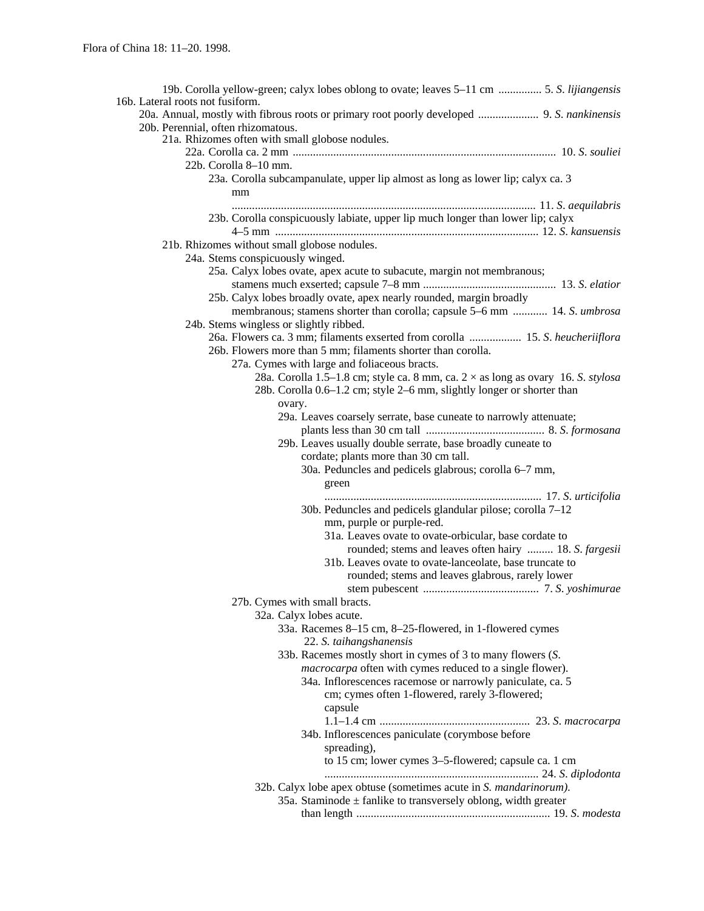| 16b. Lateral roots not fusiform.                                                           |
|--------------------------------------------------------------------------------------------|
| 20a. Annual, mostly with fibrous roots or primary root poorly developed  9. S. nankinensis |
| 20b. Perennial, often rhizomatous.                                                         |
| 21a. Rhizomes often with small globose nodules.                                            |
| 22b. Corolla 8-10 mm.                                                                      |
| 23a. Corolla subcampanulate, upper lip almost as long as lower lip; calyx ca. 3            |
|                                                                                            |
| mm                                                                                         |
| 23b. Corolla conspicuously labiate, upper lip much longer than lower lip; calyx            |
|                                                                                            |
| 21b. Rhizomes without small globose nodules.                                               |
| 24a. Stems conspicuously winged.                                                           |
| 25a. Calyx lobes ovate, apex acute to subacute, margin not membranous;                     |
|                                                                                            |
| 25b. Calyx lobes broadly ovate, apex nearly rounded, margin broadly                        |
| membranous; stamens shorter than corolla; capsule 5–6 mm  14. S. umbrosa                   |
| 24b. Stems wingless or slightly ribbed.                                                    |
| 26a. Flowers ca. 3 mm; filaments exserted from corolla  15. S. heucheriiflora              |
| 26b. Flowers more than 5 mm; filaments shorter than corolla.                               |
| 27a. Cymes with large and foliaceous bracts.                                               |
| 28a. Corolla 1.5–1.8 cm; style ca. 8 mm, ca. $2 \times$ as long as ovary 16. S. stylosa    |
| 28b. Corolla 0.6–1.2 cm; style 2–6 mm, slightly longer or shorter than                     |
| ovary.                                                                                     |
| 29a. Leaves coarsely serrate, base cuneate to narrowly attenuate;                          |
|                                                                                            |
| 29b. Leaves usually double serrate, base broadly cuneate to                                |
| cordate; plants more than 30 cm tall.                                                      |
| 30a. Peduncles and pedicels glabrous; corolla 6–7 mm,                                      |
| green                                                                                      |
|                                                                                            |
| 30b. Peduncles and pedicels glandular pilose; corolla 7-12                                 |
| mm, purple or purple-red.                                                                  |
| 31a. Leaves ovate to ovate-orbicular, base cordate to                                      |
| rounded; stems and leaves often hairy  18. S. fargesii                                     |
| 31b. Leaves ovate to ovate-lanceolate, base truncate to                                    |
| rounded; stems and leaves glabrous, rarely lower                                           |
|                                                                                            |
| 27b. Cymes with small bracts.                                                              |
| 32a. Calyx lobes acute.                                                                    |
| 33a. Racemes 8-15 cm, 8-25-flowered, in 1-flowered cymes                                   |
| 22. S. taihangshanensis                                                                    |
| 33b. Racemes mostly short in cymes of 3 to many flowers (S.                                |
| macrocarpa often with cymes reduced to a single flower).                                   |
| 34a. Inflorescences racemose or narrowly paniculate, ca. 5                                 |
| cm; cymes often 1-flowered, rarely 3-flowered;                                             |
| capsule                                                                                    |
|                                                                                            |
| 34b. Inflorescences paniculate (corymbose before                                           |
| spreading),                                                                                |
| to 15 cm; lower cymes 3–5-flowered; capsule ca. 1 cm                                       |
|                                                                                            |
| 32b. Calyx lobe apex obtuse (sometimes acute in S. mandarinorum).                          |
| 35a. Staminode $\pm$ fanlike to transversely oblong, width greater                         |
|                                                                                            |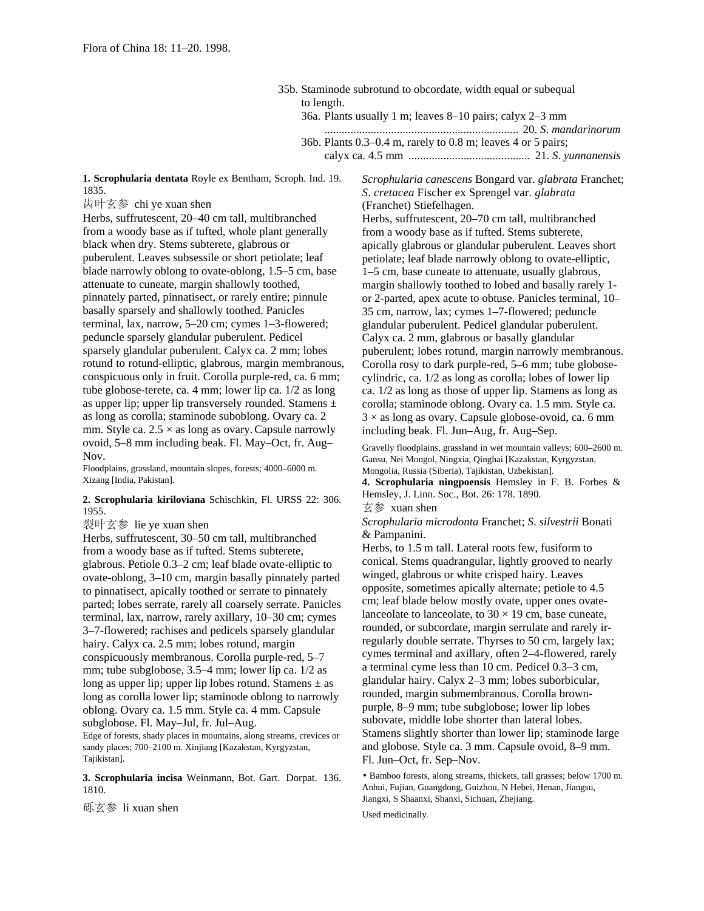35b. Staminode subrotund to obcordate, width equal or subequal to length. 36a. Plants usually 1 m; leaves 8–10 pairs; calyx 2–3 mm ................................................................... 20. *S*. *mandarinorum* 36b. Plants 0.3–0.4 m, rarely to 0.8 m; leaves 4 or 5 pairs; calyx ca. 4.5 mm .......................................... 21. *S*. *yunnanensis*

**1. Scrophularia dentata** Royle ex Bentham, Scroph. Ind. 19. 1835.

齿叶玄参 chi ye xuan shen

Herbs, suffrutescent, 20–40 cm tall, multibranched from a woody base as if tufted, whole plant generally black when dry. Stems subterete, glabrous or puberulent. Leaves subsessile or short petiolate; leaf blade narrowly oblong to ovate-oblong, 1.5–5 cm, base attenuate to cuneate, margin shallowly toothed, pinnately parted, pinnatisect, or rarely entire; pinnule basally sparsely and shallowly toothed. Panicles terminal, lax, narrow, 5–20 cm; cymes 1–3-flowered; peduncle sparsely glandular puberulent. Pedicel sparsely glandular puberulent. Calyx ca. 2 mm; lobes rotund to rotund-elliptic, glabrous, margin membranous, conspicuous only in fruit. Corolla purple-red, ca. 6 mm; tube globose-terete, ca. 4 mm; lower lip ca. 1/2 as long as upper lip; upper lip transversely rounded. Stamens  $\pm$ as long as corolla; staminode suboblong. Ovary ca. 2 mm. Style ca.  $2.5 \times$  as long as ovary. Capsule narrowly ovoid, 5–8 mm including beak. Fl. May–Oct, fr. Aug– Nov.

Floodplains, grassland, mountain slopes, forests; 4000–6000 m. Xizang [India, Pakistan].

## **2. Scrophularia kiriloviana** Schischkin, Fl. URSS 22: 306. 1955.

裂叶玄参 lie ye xuan shen

Herbs, suffrutescent, 30–50 cm tall, multibranched from a woody base as if tufted. Stems subterete, glabrous. Petiole 0.3–2 cm; leaf blade ovate-elliptic to ovate-oblong, 3–10 cm, margin basally pinnately parted to pinnatisect, apically toothed or serrate to pinnately parted; lobes serrate, rarely all coarsely serrate. Panicles terminal, lax, narrow, rarely axillary, 10–30 cm; cymes 3–7-flowered; rachises and pedicels sparsely glandular hairy. Calyx ca. 2.5 mm; lobes rotund, margin conspicuously membranous. Corolla purple-red, 5–7 mm; tube subglobose, 3.5–4 mm; lower lip ca. 1/2 as long as upper lip; upper lip lobes rotund. Stamens  $\pm$  as long as corolla lower lip; staminode oblong to narrowly oblong. Ovary ca. 1.5 mm. Style ca. 4 mm. Capsule subglobose. Fl. May–Jul, fr. Jul–Aug.

Edge of forests, shady places in mountains, along streams, crevices or sandy places; 700–2100 m. Xinjiang [Kazakstan, Kyrgyzstan, Tajikistan].

**3. Scrophularia incisa** Weinmann, Bot. Gart. Dorpat. 136. 1810.

砾玄参 li xuan shen

*Scrophularia canescens* Bongard var. *glabrata* Franchet; *S*. *cretacea* Fischer ex Sprengel var. *glabrata* (Franchet) Stiefelhagen. Herbs, suffrutescent, 20–70 cm tall, multibranched from a woody base as if tufted. Stems subterete, apically glabrous or glandular puberulent. Leaves short petiolate; leaf blade narrowly oblong to ovate-elliptic, 1–5 cm, base cuneate to attenuate, usually glabrous, margin shallowly toothed to lobed and basally rarely 1 or 2-parted, apex acute to obtuse. Panicles terminal, 10– 35 cm, narrow, lax; cymes 1–7-flowered; peduncle glandular puberulent. Pedicel glandular puberulent. Calyx ca. 2 mm, glabrous or basally glandular puberulent; lobes rotund, margin narrowly membranous. Corolla rosy to dark purple-red, 5–6 mm; tube globosecylindric, ca. 1/2 as long as corolla; lobes of lower lip ca. 1/2 as long as those of upper lip. Stamens as long as corolla; staminode oblong. Ovary ca. 1.5 mm. Style ca.  $3 \times$  as long as ovary. Capsule globose-ovoid, ca. 6 mm including beak. Fl. Jun–Aug, fr. Aug–Sep.

Gravelly floodplains, grassland in wet mountain valleys; 600–2600 m. Gansu, Nei Mongol, Ningxia, Qinghai [Kazakstan, Kyrgyzstan, Mongolia, Russia (Siberia), Tajikistan, Uzbekistan].

**4. Scrophularia ningpoensis** Hemsley in F. B. Forbes & Hemsley, J. Linn. Soc., Bot. 26: 178. 1890.

玄参 xuan shen

*Scrophularia microdonta* Franchet; *S*. *silvestrii* Bonati & Pampanini.

Herbs, to 1.5 m tall. Lateral roots few, fusiform to conical. Stems quadrangular, lightly grooved to nearly winged, glabrous or white crisped hairy. Leaves opposite, sometimes apically alternate; petiole to 4.5 cm; leaf blade below mostly ovate, upper ones ovatelanceolate to lanceolate, to  $30 \times 19$  cm, base cuneate, rounded, or subcordate, margin serrulate and rarely irregularly double serrate. Thyrses to 50 cm, largely lax; cymes terminal and axillary, often 2–4-flowered, rarely a terminal cyme less than 10 cm. Pedicel 0.3–3 cm, glandular hairy. Calyx 2–3 mm; lobes suborbicular, rounded, margin submembranous. Corolla brownpurple, 8–9 mm; tube subglobose; lower lip lobes subovate, middle lobe shorter than lateral lobes. Stamens slightly shorter than lower lip; staminode large and globose. Style ca. 3 mm. Capsule ovoid, 8–9 mm. Fl. Jun–Oct, fr. Sep–Nov.

• Bamboo forests, along streams, thickets, tall grasses; below 1700 m. Anhui, Fujian, Guangdong, Guizhou, N Hebei, Henan, Jiangsu, Jiangxi, S Shaanxi, Shanxi, Sichuan, Zhejiang.

Used medicinally.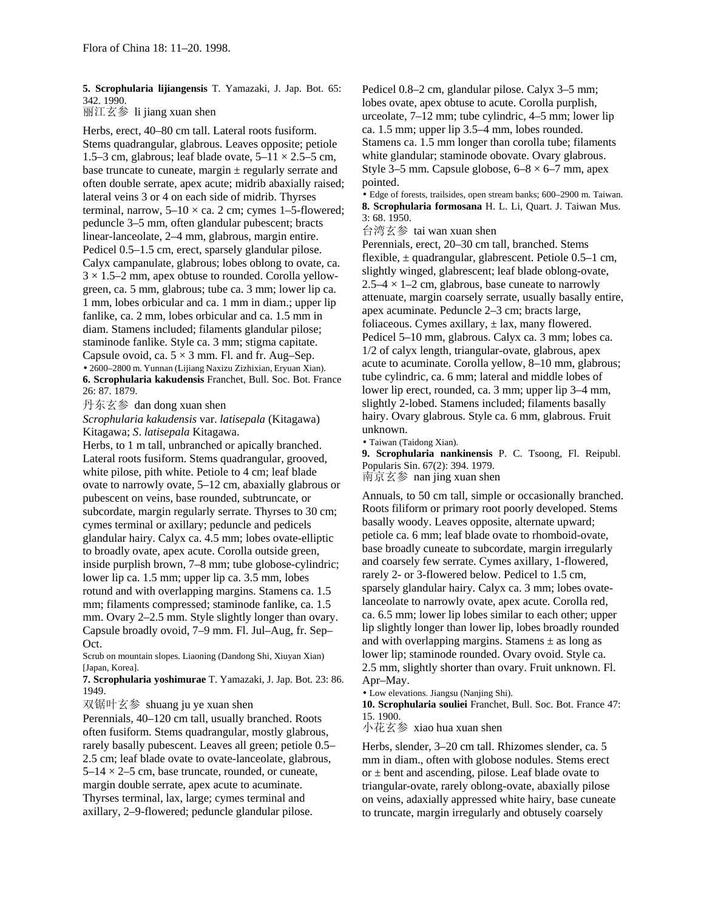**5. Scrophularia lijiangensis** T. Yamazaki, J. Jap. Bot. 65: 342. 1990.

丽江玄参 li jiang xuan shen

Herbs, erect, 40–80 cm tall. Lateral roots fusiform. Stems quadrangular, glabrous. Leaves opposite; petiole 1.5–3 cm, glabrous; leaf blade ovate,  $5-11 \times 2.5-5$  cm, base truncate to cuneate, margin  $\pm$  regularly serrate and often double serrate, apex acute; midrib abaxially raised; lateral veins 3 or 4 on each side of midrib. Thyrses terminal, narrow,  $5-10 \times$  ca. 2 cm; cymes 1–5-flowered; peduncle 3–5 mm, often glandular pubescent; bracts linear-lanceolate, 2–4 mm, glabrous, margin entire. Pedicel 0.5–1.5 cm, erect, sparsely glandular pilose. Calyx campanulate, glabrous; lobes oblong to ovate, ca.  $3 \times 1.5$ –2 mm, apex obtuse to rounded. Corolla yellowgreen, ca. 5 mm, glabrous; tube ca. 3 mm; lower lip ca. 1 mm, lobes orbicular and ca. 1 mm in diam.; upper lip fanlike, ca. 2 mm, lobes orbicular and ca. 1.5 mm in diam. Stamens included; filaments glandular pilose; staminode fanlike. Style ca. 3 mm; stigma capitate. Capsule ovoid, ca.  $5 \times 3$  mm. Fl. and fr. Aug–Sep. • 2600–2800 m. Yunnan (Lijiang Naxizu Zizhixian, Eryuan Xian). **6. Scrophularia kakudensis** Franchet, Bull. Soc. Bot. France 26: 87. 1879.

丹东玄参 dan dong xuan shen

*Scrophularia kakudensis* var. *latisepala* (Kitagawa) Kitagawa; *S*. *latisepala* Kitagawa.

Herbs, to 1 m tall, unbranched or apically branched. Lateral roots fusiform. Stems quadrangular, grooved, white pilose, pith white. Petiole to 4 cm; leaf blade ovate to narrowly ovate, 5–12 cm, abaxially glabrous or pubescent on veins, base rounded, subtruncate, or subcordate, margin regularly serrate. Thyrses to 30 cm; cymes terminal or axillary; peduncle and pedicels glandular hairy. Calyx ca. 4.5 mm; lobes ovate-elliptic to broadly ovate, apex acute. Corolla outside green, inside purplish brown, 7–8 mm; tube globose-cylindric; lower lip ca. 1.5 mm; upper lip ca. 3.5 mm, lobes rotund and with overlapping margins. Stamens ca. 1.5 mm; filaments compressed; staminode fanlike, ca. 1.5 mm. Ovary 2–2.5 mm. Style slightly longer than ovary. Capsule broadly ovoid, 7–9 mm. Fl. Jul–Aug, fr. Sep– Oct.

Scrub on mountain slopes. Liaoning (Dandong Shi, Xiuyan Xian) [Japan, Korea].

**7. Scrophularia yoshimurae** T. Yamazaki, J. Jap. Bot. 23: 86. 1949.

双锯叶玄参 shuang ju ye xuan shen

Perennials, 40–120 cm tall, usually branched. Roots often fusiform. Stems quadrangular, mostly glabrous, rarely basally pubescent. Leaves all green; petiole 0.5– 2.5 cm; leaf blade ovate to ovate-lanceolate, glabrous,  $5-14 \times 2-5$  cm, base truncate, rounded, or cuneate, margin double serrate, apex acute to acuminate. Thyrses terminal, lax, large; cymes terminal and axillary, 2–9-flowered; peduncle glandular pilose.

Pedicel 0.8–2 cm, glandular pilose. Calyx 3–5 mm; lobes ovate, apex obtuse to acute. Corolla purplish, urceolate, 7–12 mm; tube cylindric, 4–5 mm; lower lip ca. 1.5 mm; upper lip 3.5–4 mm, lobes rounded. Stamens ca. 1.5 mm longer than corolla tube; filaments white glandular; staminode obovate. Ovary glabrous. Style 3–5 mm. Capsule globose,  $6-8 \times 6-7$  mm, apex pointed.

• Edge of forests, trailsides, open stream banks; 600–2900 m. Taiwan. **8. Scrophularia formosana** H. L. Li, Quart. J. Taiwan Mus. 3: 68. 1950.

台湾玄参 tai wan xuan shen

Perennials, erect, 20–30 cm tall, branched. Stems flexible,  $\pm$  quadrangular, glabrescent. Petiole 0.5–1 cm, slightly winged, glabrescent; leaf blade oblong-ovate,  $2.5-4 \times 1-2$  cm, glabrous, base cuneate to narrowly attenuate, margin coarsely serrate, usually basally entire, apex acuminate. Peduncle 2–3 cm; bracts large, foliaceous. Cymes axillary,  $\pm$  lax, many flowered. Pedicel 5–10 mm, glabrous. Calyx ca. 3 mm; lobes ca. 1/2 of calyx length, triangular-ovate, glabrous, apex acute to acuminate. Corolla yellow, 8–10 mm, glabrous; tube cylindric, ca. 6 mm; lateral and middle lobes of lower lip erect, rounded, ca. 3 mm; upper lip 3–4 mm, slightly 2-lobed. Stamens included; filaments basally hairy. Ovary glabrous. Style ca. 6 mm, glabrous. Fruit unknown.

• Taiwan (Taidong Xian).

**9. Scrophularia nankinensis** P. C. Tsoong, Fl. Reipubl. Popularis Sin. 67(2): 394. 1979. 南京玄参 nan jing xuan shen

Annuals, to 50 cm tall, simple or occasionally branched. Roots filiform or primary root poorly developed. Stems basally woody. Leaves opposite, alternate upward; petiole ca. 6 mm; leaf blade ovate to rhomboid-ovate, base broadly cuneate to subcordate, margin irregularly and coarsely few serrate. Cymes axillary, 1-flowered, rarely 2- or 3-flowered below. Pedicel to 1.5 cm, sparsely glandular hairy. Calyx ca. 3 mm; lobes ovatelanceolate to narrowly ovate, apex acute. Corolla red, ca. 6.5 mm; lower lip lobes similar to each other; upper lip slightly longer than lower lip, lobes broadly rounded and with overlapping margins. Stamens  $\pm$  as long as lower lip; staminode rounded. Ovary ovoid. Style ca. 2.5 mm, slightly shorter than ovary. Fruit unknown. Fl. Apr–May.

• Low elevations. Jiangsu (Nanjing Shi).

**10. Scrophularia souliei** Franchet, Bull. Soc. Bot. France 47: 15. 1900.

小花玄参 xiao hua xuan shen

Herbs, slender, 3–20 cm tall. Rhizomes slender, ca. 5 mm in diam., often with globose nodules. Stems erect or  $\pm$  bent and ascending, pilose. Leaf blade ovate to triangular-ovate, rarely oblong-ovate, abaxially pilose on veins, adaxially appressed white hairy, base cuneate to truncate, margin irregularly and obtusely coarsely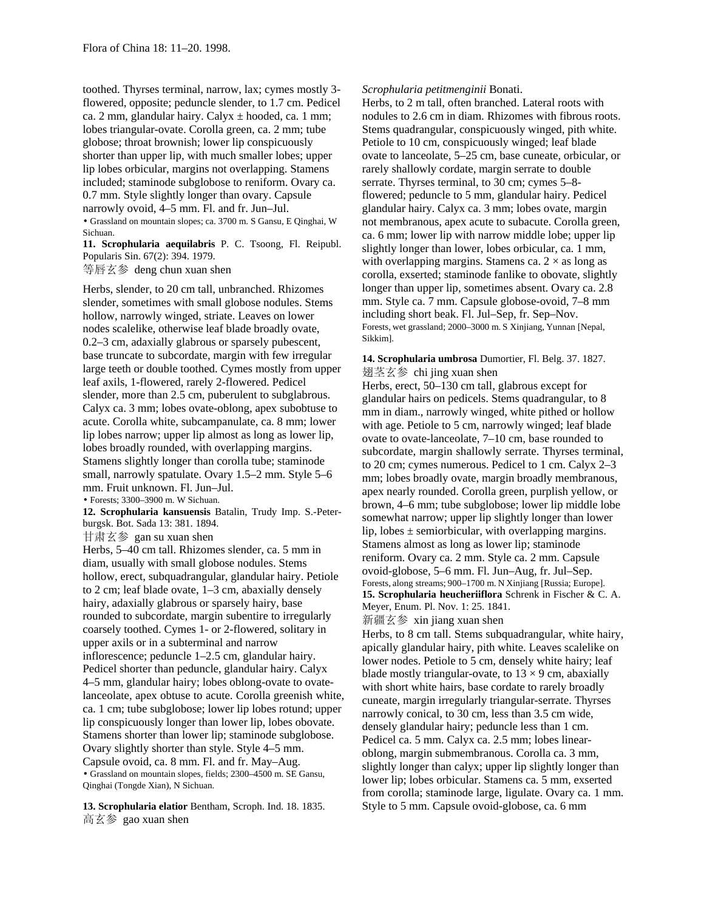toothed. Thyrses terminal, narrow, lax; cymes mostly 3 flowered, opposite; peduncle slender, to 1.7 cm. Pedicel ca. 2 mm, glandular hairy. Calyx  $\pm$  hooded, ca. 1 mm; lobes triangular-ovate. Corolla green, ca. 2 mm; tube globose; throat brownish; lower lip conspicuously shorter than upper lip, with much smaller lobes; upper lip lobes orbicular, margins not overlapping. Stamens included; staminode subglobose to reniform. Ovary ca. 0.7 mm. Style slightly longer than ovary. Capsule narrowly ovoid, 4–5 mm. Fl. and fr. Jun–Jul. • Grassland on mountain slopes; ca. 3700 m. S Gansu, E Qinghai, W Sichuan.

**11. Scrophularia aequilabris** P. C. Tsoong, Fl. Reipubl. Popularis Sin. 67(2): 394. 1979.

等唇玄参 deng chun xuan shen

Herbs, slender, to 20 cm tall, unbranched. Rhizomes slender, sometimes with small globose nodules. Stems hollow, narrowly winged, striate. Leaves on lower nodes scalelike, otherwise leaf blade broadly ovate, 0.2–3 cm, adaxially glabrous or sparsely pubescent, base truncate to subcordate, margin with few irregular large teeth or double toothed. Cymes mostly from upper leaf axils, 1-flowered, rarely 2-flowered. Pedicel slender, more than 2.5 cm, puberulent to subglabrous. Calyx ca. 3 mm; lobes ovate-oblong, apex subobtuse to acute. Corolla white, subcampanulate, ca. 8 mm; lower lip lobes narrow; upper lip almost as long as lower lip, lobes broadly rounded, with overlapping margins. Stamens slightly longer than corolla tube; staminode small, narrowly spatulate. Ovary 1.5–2 mm. Style 5–6 mm. Fruit unknown. Fl. Jun–Jul.

• Forests; 3300–3900 m. W Sichuan.

**12. Scrophularia kansuensis** Batalin, Trudy Imp. S.-Peterburgsk. Bot. Sada 13: 381. 1894.

甘肃玄参 gan su xuan shen

Herbs, 5–40 cm tall. Rhizomes slender, ca. 5 mm in diam, usually with small globose nodules. Stems hollow, erect, subquadrangular, glandular hairy. Petiole to 2 cm; leaf blade ovate, 1–3 cm, abaxially densely hairy, adaxially glabrous or sparsely hairy, base rounded to subcordate, margin subentire to irregularly coarsely toothed. Cymes 1- or 2-flowered, solitary in upper axils or in a subterminal and narrow inflorescence; peduncle 1–2.5 cm, glandular hairy. Pedicel shorter than peduncle, glandular hairy. Calyx 4–5 mm, glandular hairy; lobes oblong-ovate to ovatelanceolate, apex obtuse to acute. Corolla greenish white, ca. 1 cm; tube subglobose; lower lip lobes rotund; upper lip conspicuously longer than lower lip, lobes obovate. Stamens shorter than lower lip; staminode subglobose. Ovary slightly shorter than style. Style 4–5 mm. Capsule ovoid, ca. 8 mm. Fl. and fr. May–Aug. • Grassland on mountain slopes, fields; 2300–4500 m. SE Gansu, Qinghai (Tongde Xian), N Sichuan.

**13. Scrophularia elatior** Bentham, Scroph. Ind. 18. 1835. 高玄参 gao xuan shen

#### *Scrophularia petitmenginii* Bonati.

Herbs, to 2 m tall, often branched. Lateral roots with nodules to 2.6 cm in diam. Rhizomes with fibrous roots. Stems quadrangular, conspicuously winged, pith white. Petiole to 10 cm, conspicuously winged; leaf blade ovate to lanceolate, 5–25 cm, base cuneate, orbicular, or rarely shallowly cordate, margin serrate to double serrate. Thyrses terminal, to 30 cm; cymes 5–8 flowered; peduncle to 5 mm, glandular hairy. Pedicel glandular hairy. Calyx ca. 3 mm; lobes ovate, margin not membranous, apex acute to subacute. Corolla green, ca. 6 mm; lower lip with narrow middle lobe; upper lip slightly longer than lower, lobes orbicular, ca. 1 mm, with overlapping margins. Stamens ca.  $2 \times$  as long as corolla, exserted; staminode fanlike to obovate, slightly longer than upper lip, sometimes absent. Ovary ca. 2.8 mm. Style ca. 7 mm. Capsule globose-ovoid, 7–8 mm including short beak. Fl. Jul–Sep, fr. Sep–Nov. Forests, wet grassland; 2000–3000 m. S Xinjiang, Yunnan [Nepal, Sikkim].

**14. Scrophularia umbrosa** Dumortier, Fl. Belg. 37. 1827. 翅茎玄参 chi jing xuan shen

Herbs, erect, 50–130 cm tall, glabrous except for glandular hairs on pedicels. Stems quadrangular, to 8 mm in diam., narrowly winged, white pithed or hollow with age. Petiole to 5 cm, narrowly winged; leaf blade ovate to ovate-lanceolate, 7–10 cm, base rounded to subcordate, margin shallowly serrate. Thyrses terminal, to 20 cm; cymes numerous. Pedicel to 1 cm. Calyx 2–3 mm; lobes broadly ovate, margin broadly membranous, apex nearly rounded. Corolla green, purplish yellow, or brown, 4–6 mm; tube subglobose; lower lip middle lobe somewhat narrow; upper lip slightly longer than lower lip, lobes  $\pm$  semiorbicular, with overlapping margins. Stamens almost as long as lower lip; staminode reniform. Ovary ca. 2 mm. Style ca. 2 mm. Capsule ovoid-globose, 5–6 mm. Fl. Jun–Aug, fr. Jul–Sep. Forests, along streams; 900–1700 m. N Xinjiang [Russia; Europe]. **15. Scrophularia heucheriiflora** Schrenk in Fischer & C. A. Meyer, Enum. Pl. Nov. 1: 25. 1841.

新疆玄参 xin jiang xuan shen

Herbs, to 8 cm tall. Stems subquadrangular, white hairy, apically glandular hairy, pith white. Leaves scalelike on lower nodes. Petiole to 5 cm, densely white hairy; leaf blade mostly triangular-ovate, to  $13 \times 9$  cm, abaxially with short white hairs, base cordate to rarely broadly cuneate, margin irregularly triangular-serrate. Thyrses narrowly conical, to 30 cm, less than 3.5 cm wide, densely glandular hairy; peduncle less than 1 cm. Pedicel ca. 5 mm. Calyx ca. 2.5 mm; lobes linearoblong, margin submembranous. Corolla ca. 3 mm, slightly longer than calyx; upper lip slightly longer than lower lip; lobes orbicular. Stamens ca. 5 mm, exserted from corolla; staminode large, ligulate. Ovary ca. 1 mm. Style to 5 mm. Capsule ovoid-globose, ca. 6 mm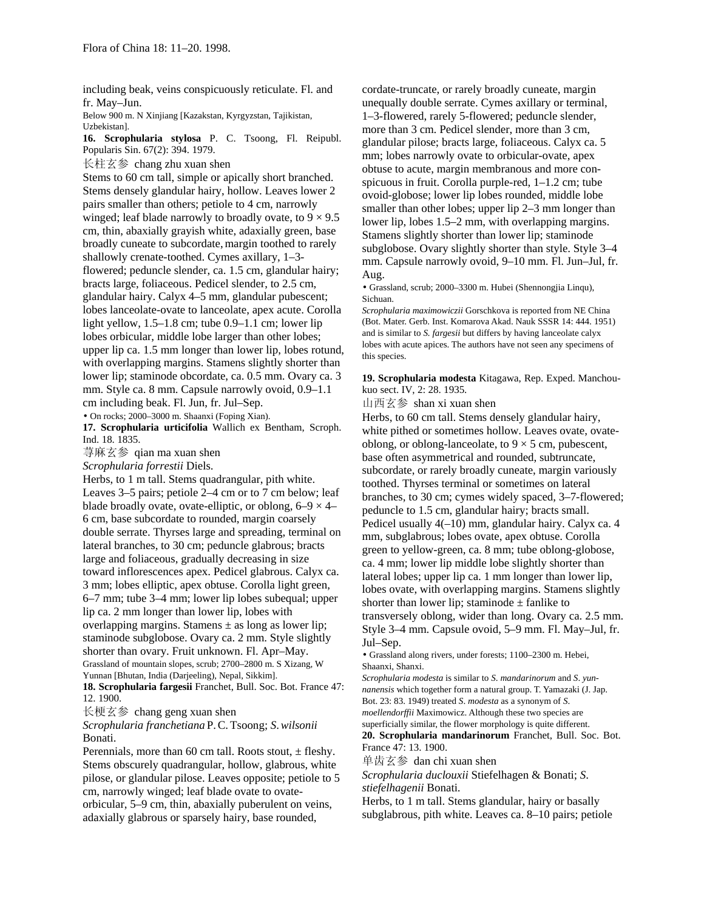including beak, veins conspicuously reticulate. Fl. and fr. May–Jun.

Below 900 m. N Xinjiang [Kazakstan, Kyrgyzstan, Tajikistan, Uzbekistan].

**16. Scrophularia stylosa** P. C. Tsoong, Fl. Reipubl. Popularis Sin. 67(2): 394. 1979.

长柱玄参 chang zhu xuan shen

Stems to 60 cm tall, simple or apically short branched. Stems densely glandular hairy, hollow. Leaves lower 2 pairs smaller than others; petiole to 4 cm, narrowly winged; leaf blade narrowly to broadly ovate, to  $9 \times 9.5$ cm, thin, abaxially grayish white, adaxially green, base broadly cuneate to subcordate, margin toothed to rarely shallowly crenate-toothed. Cymes axillary, 1–3 flowered; peduncle slender, ca. 1.5 cm, glandular hairy; bracts large, foliaceous. Pedicel slender, to 2.5 cm, glandular hairy. Calyx 4–5 mm, glandular pubescent; lobes lanceolate-ovate to lanceolate, apex acute. Corolla light yellow, 1.5–1.8 cm; tube 0.9–1.1 cm; lower lip lobes orbicular, middle lobe larger than other lobes; upper lip ca. 1.5 mm longer than lower lip, lobes rotund, with overlapping margins. Stamens slightly shorter than lower lip; staminode obcordate, ca. 0.5 mm. Ovary ca. 3 mm. Style ca. 8 mm. Capsule narrowly ovoid, 0.9–1.1 cm including beak. Fl. Jun, fr. Jul–Sep.

• On rocks; 2000–3000 m. Shaanxi (Foping Xian).

**17. Scrophularia urticifolia** Wallich ex Bentham, Scroph. Ind. 18. 1835.

荨麻玄参 qian ma xuan shen

*Scrophularia forrestii* Diels.

Herbs, to 1 m tall. Stems quadrangular, pith white. Leaves 3–5 pairs; petiole 2–4 cm or to 7 cm below; leaf blade broadly ovate, ovate-elliptic, or oblong,  $6-9 \times 4-$ 6 cm, base subcordate to rounded, margin coarsely double serrate. Thyrses large and spreading, terminal on lateral branches, to 30 cm; peduncle glabrous; bracts large and foliaceous, gradually decreasing in size toward inflorescences apex. Pedicel glabrous. Calyx ca. 3 mm; lobes elliptic, apex obtuse. Corolla light green, 6–7 mm; tube 3–4 mm; lower lip lobes subequal; upper lip ca. 2 mm longer than lower lip, lobes with overlapping margins. Stamens  $\pm$  as long as lower lip; staminode subglobose. Ovary ca. 2 mm. Style slightly shorter than ovary. Fruit unknown. Fl. Apr–May. Grassland of mountain slopes, scrub; 2700–2800 m. S Xizang, W Yunnan [Bhutan, India (Darjeeling), Nepal, Sikkim].

**18. Scrophularia fargesii** Franchet, Bull. Soc. Bot. France 47: 12. 1900.

长梗玄参 chang geng xuan shen

*Scrophularia franchetiana* P.C.Tsoong; *S*.*wilsonii* Bonati.

Perennials, more than 60 cm tall. Roots stout,  $\pm$  fleshy. Stems obscurely quadrangular, hollow, glabrous, white pilose, or glandular pilose. Leaves opposite; petiole to 5 cm, narrowly winged; leaf blade ovate to ovateorbicular, 5–9 cm, thin, abaxially puberulent on veins, adaxially glabrous or sparsely hairy, base rounded,

cordate-truncate, or rarely broadly cuneate, margin unequally double serrate. Cymes axillary or terminal, 1–3-flowered, rarely 5-flowered; peduncle slender, more than 3 cm. Pedicel slender, more than 3 cm, glandular pilose; bracts large, foliaceous. Calyx ca. 5 mm; lobes narrowly ovate to orbicular-ovate, apex obtuse to acute, margin membranous and more conspicuous in fruit. Corolla purple-red, 1–1.2 cm; tube ovoid-globose; lower lip lobes rounded, middle lobe smaller than other lobes; upper lip 2–3 mm longer than lower lip, lobes 1.5–2 mm, with overlapping margins. Stamens slightly shorter than lower lip; staminode subglobose. Ovary slightly shorter than style. Style 3–4 mm. Capsule narrowly ovoid, 9–10 mm. Fl. Jun–Jul, fr. Aug.

• Grassland, scrub; 2000–3300 m. Hubei (Shennongjia Linqu), Sichuan.

*Scrophularia maximowiczii* Gorschkova is reported from NE China (Bot. Mater. Gerb. Inst. Komarova Akad. Nauk SSSR 14: 444. 1951) and is similar to *S. fargesii* but differs by having lanceolate calyx lobes with acute apices. The authors have not seen any specimens of this species.

**19. Scrophularia modesta** Kitagawa, Rep. Exped. Manchoukuo sect. IV, 2: 28. 1935.

山西玄参 shan xi xuan shen

Herbs, to 60 cm tall. Stems densely glandular hairy, white pithed or sometimes hollow. Leaves ovate, ovateoblong, or oblong-lanceolate, to  $9 \times 5$  cm, pubescent, base often asymmetrical and rounded, subtruncate, subcordate, or rarely broadly cuneate, margin variously toothed. Thyrses terminal or sometimes on lateral branches, to 30 cm; cymes widely spaced, 3–7-flowered; peduncle to 1.5 cm, glandular hairy; bracts small. Pedicel usually 4(–10) mm, glandular hairy. Calyx ca. 4 mm, subglabrous; lobes ovate, apex obtuse. Corolla green to yellow-green, ca. 8 mm; tube oblong-globose, ca. 4 mm; lower lip middle lobe slightly shorter than lateral lobes; upper lip ca. 1 mm longer than lower lip, lobes ovate, with overlapping margins. Stamens slightly shorter than lower lip; staminode  $\pm$  fanlike to transversely oblong, wider than long. Ovary ca. 2.5 mm. Style 3–4 mm. Capsule ovoid, 5–9 mm. Fl. May–Jul, fr. Jul–Sep.

• Grassland along rivers, under forests; 1100–2300 m. Hebei, Shaanxi, Shanxi.

*Scrophularia modesta* is similar to *S*. *mandarinorum* and *S*. *yunnanensis* which together form a natural group. T. Yamazaki (J. Jap. Bot. 23: 83. 1949) treated *S*. *modesta* as a synonym of *S*. *moellendorffii* Maximowicz. Although these two species are superficially similar, the flower morphology is quite different. **20. Scrophularia mandarinorum** Franchet, Bull. Soc. Bot.

France 47: 13. 1900.

单齿玄参 dan chi xuan shen

*Scrophularia duclouxii* Stiefelhagen & Bonati; *S*. *stiefelhagenii* Bonati.

Herbs, to 1 m tall. Stems glandular, hairy or basally subglabrous, pith white. Leaves ca. 8–10 pairs; petiole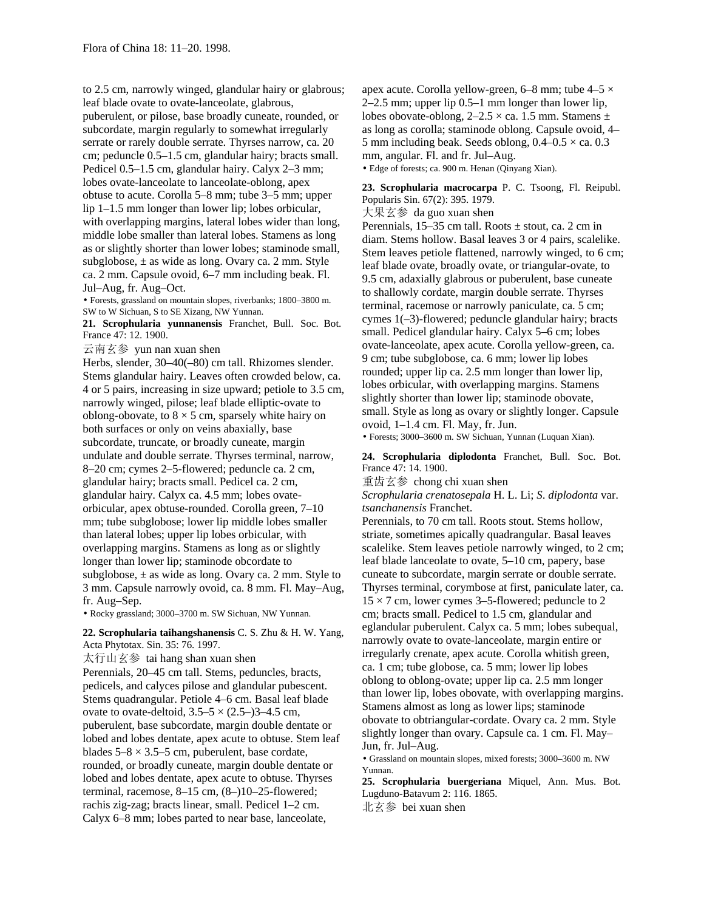to 2.5 cm, narrowly winged, glandular hairy or glabrous; leaf blade ovate to ovate-lanceolate, glabrous, puberulent, or pilose, base broadly cuneate, rounded, or subcordate, margin regularly to somewhat irregularly serrate or rarely double serrate. Thyrses narrow, ca. 20 cm; peduncle 0.5–1.5 cm, glandular hairy; bracts small. Pedicel 0.5–1.5 cm, glandular hairy. Calyx 2–3 mm; lobes ovate-lanceolate to lanceolate-oblong, apex obtuse to acute. Corolla 5–8 mm; tube 3–5 mm; upper lip 1–1.5 mm longer than lower lip; lobes orbicular, with overlapping margins, lateral lobes wider than long, middle lobe smaller than lateral lobes. Stamens as long as or slightly shorter than lower lobes; staminode small, subglobose, ± as wide as long. Ovary ca. 2 mm. Style ca. 2 mm. Capsule ovoid, 6–7 mm including beak. Fl. Jul–Aug, fr. Aug–Oct.

• Forests, grassland on mountain slopes, riverbanks; 1800–3800 m. SW to W Sichuan, S to SE Xizang, NW Yunnan.

**21. Scrophularia yunnanensis** Franchet, Bull. Soc. Bot. France 47: 12. 1900.

云南玄参 yun nan xuan shen

Herbs, slender, 30–40(–80) cm tall. Rhizomes slender. Stems glandular hairy. Leaves often crowded below, ca. 4 or 5 pairs, increasing in size upward; petiole to 3.5 cm, narrowly winged, pilose; leaf blade elliptic-ovate to oblong-obovate, to  $8 \times 5$  cm, sparsely white hairy on both surfaces or only on veins abaxially, base subcordate, truncate, or broadly cuneate, margin undulate and double serrate. Thyrses terminal, narrow, 8–20 cm; cymes 2–5-flowered; peduncle ca. 2 cm, glandular hairy; bracts small. Pedicel ca. 2 cm, glandular hairy. Calyx ca. 4.5 mm; lobes ovateorbicular, apex obtuse-rounded. Corolla green, 7–10 mm; tube subglobose; lower lip middle lobes smaller than lateral lobes; upper lip lobes orbicular, with overlapping margins. Stamens as long as or slightly longer than lower lip; staminode obcordate to subglobose,  $\pm$  as wide as long. Ovary ca. 2 mm. Style to 3 mm. Capsule narrowly ovoid, ca. 8 mm. Fl. May–Aug, fr. Aug–Sep.

• Rocky grassland; 3000–3700 m. SW Sichuan, NW Yunnan.

# **22. Scrophularia taihangshanensis** C. S. Zhu & H. W. Yang, Acta Phytotax. Sin. 35: 76. 1997.

太行山玄参 tai hang shan xuan shen Perennials, 20–45 cm tall. Stems, peduncles, bracts, pedicels, and calyces pilose and glandular pubescent. Stems quadrangular. Petiole 4–6 cm. Basal leaf blade ovate to ovate-deltoid,  $3.5-5 \times (2.5-3-4.5)$  cm, puberulent, base subcordate, margin double dentate or lobed and lobes dentate, apex acute to obtuse. Stem leaf blades  $5-8 \times 3.5-5$  cm, puberulent, base cordate, rounded, or broadly cuneate, margin double dentate or lobed and lobes dentate, apex acute to obtuse. Thyrses terminal, racemose, 8–15 cm, (8–)10–25-flowered; rachis zig-zag; bracts linear, small. Pedicel 1–2 cm. Calyx 6–8 mm; lobes parted to near base, lanceolate,

apex acute. Corolla yellow-green, 6–8 mm; tube  $4-5 \times$ 2–2.5 mm; upper lip 0.5–1 mm longer than lower lip, lobes obovate-oblong,  $2-2.5 \times$  ca. 1.5 mm. Stamens  $\pm$ as long as corolla; staminode oblong. Capsule ovoid, 4– 5 mm including beak. Seeds oblong,  $0.4-0.5 \times$  ca. 0.3 mm, angular. Fl. and fr. Jul–Aug. • Edge of forests; ca. 900 m. Henan (Qinyang Xian).

**23. Scrophularia macrocarpa** P. C. Tsoong, Fl. Reipubl. Popularis Sin. 67(2): 395. 1979.

大果玄参 da guo xuan shen

Perennials,  $15-35$  cm tall. Roots  $\pm$  stout, ca. 2 cm in diam. Stems hollow. Basal leaves 3 or 4 pairs, scalelike. Stem leaves petiole flattened, narrowly winged, to 6 cm; leaf blade ovate, broadly ovate, or triangular-ovate, to 9.5 cm, adaxially glabrous or puberulent, base cuneate to shallowly cordate, margin double serrate. Thyrses terminal, racemose or narrowly paniculate, ca. 5 cm; cymes 1(–3)-flowered; peduncle glandular hairy; bracts small. Pedicel glandular hairy. Calyx 5–6 cm; lobes ovate-lanceolate, apex acute. Corolla yellow-green, ca. 9 cm; tube subglobose, ca. 6 mm; lower lip lobes rounded; upper lip ca. 2.5 mm longer than lower lip, lobes orbicular, with overlapping margins. Stamens slightly shorter than lower lip; staminode obovate, small. Style as long as ovary or slightly longer. Capsule ovoid, 1–1.4 cm. Fl. May, fr. Jun.

• Forests; 3000–3600 m. SW Sichuan, Yunnan (Luquan Xian).

**24. Scrophularia diplodonta** Franchet, Bull. Soc. Bot. France 47: 14. 1900.

重齿玄参 chong chi xuan shen

*Scrophularia crenatosepala* H. L. Li; *S*. *diplodonta* var. *tsanchanensis* Franchet.

Perennials, to 70 cm tall. Roots stout. Stems hollow, striate, sometimes apically quadrangular. Basal leaves scalelike. Stem leaves petiole narrowly winged, to 2 cm; leaf blade lanceolate to ovate, 5–10 cm, papery, base cuneate to subcordate, margin serrate or double serrate. Thyrses terminal, corymbose at first, paniculate later, ca.  $15 \times 7$  cm, lower cymes 3–5-flowered; peduncle to 2 cm; bracts small. Pedicel to 1.5 cm, glandular and eglandular puberulent. Calyx ca. 5 mm; lobes subequal, narrowly ovate to ovate-lanceolate, margin entire or irregularly crenate, apex acute. Corolla whitish green, ca. 1 cm; tube globose, ca. 5 mm; lower lip lobes oblong to oblong-ovate; upper lip ca. 2.5 mm longer than lower lip, lobes obovate, with overlapping margins. Stamens almost as long as lower lips; staminode obovate to obtriangular-cordate. Ovary ca. 2 mm. Style slightly longer than ovary. Capsule ca. 1 cm. Fl. May– Jun, fr. Jul–Aug.

• Grassland on mountain slopes, mixed forests; 3000–3600 m. NW Yunnan.

**25. Scrophularia buergeriana** Miquel, Ann. Mus. Bot. Lugduno-Batavum 2: 116. 1865.

北玄参 bei xuan shen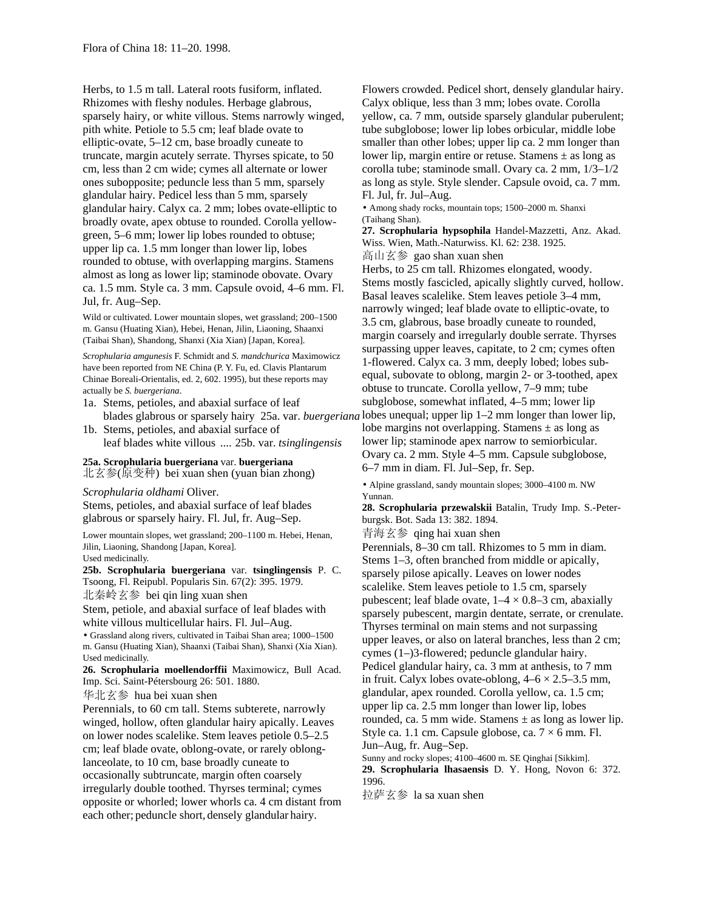Herbs, to 1.5 m tall. Lateral roots fusiform, inflated. Rhizomes with fleshy nodules. Herbage glabrous, sparsely hairy, or white villous. Stems narrowly winged, pith white. Petiole to 5.5 cm; leaf blade ovate to elliptic-ovate, 5–12 cm, base broadly cuneate to truncate, margin acutely serrate. Thyrses spicate, to 50 cm, less than 2 cm wide; cymes all alternate or lower ones subopposite; peduncle less than 5 mm, sparsely glandular hairy. Pedicel less than 5 mm, sparsely glandular hairy. Calyx ca. 2 mm; lobes ovate-elliptic to broadly ovate, apex obtuse to rounded. Corolla yellowgreen, 5–6 mm; lower lip lobes rounded to obtuse; upper lip ca. 1.5 mm longer than lower lip, lobes rounded to obtuse, with overlapping margins. Stamens almost as long as lower lip; staminode obovate. Ovary ca. 1.5 mm. Style ca. 3 mm. Capsule ovoid, 4–6 mm. Fl. Jul, fr. Aug–Sep.

Wild or cultivated. Lower mountain slopes, wet grassland; 200–1500 m. Gansu (Huating Xian), Hebei, Henan, Jilin, Liaoning, Shaanxi (Taibai Shan), Shandong, Shanxi (Xia Xian) [Japan, Korea].

*Scrophularia amgunesis* F. Schmidt and *S. mandchurica* Maximowicz have been reported from NE China (P. Y. Fu, ed. Clavis Plantarum Chinae Boreali-Orientalis, ed. 2, 602. 1995), but these reports may actually be *S. buergeriana*.

- 1a. Stems, petioles, and abaxial surface of leaf blades glabrous or sparsely hairy 25a. var. *buergeriana*
- 1b. Stems, petioles, and abaxial surface of leaf blades white villous .... 25b. var. *tsinglingensis*

## **25a. Scrophularia buergeriana** var. **buergeriana** 北玄参(原变种) bei xuan shen (yuan bian zhong)

*Scrophularia oldhami* Oliver.

Stems, petioles, and abaxial surface of leaf blades glabrous or sparsely hairy. Fl. Jul, fr. Aug–Sep.

Lower mountain slopes, wet grassland; 200–1100 m. Hebei, Henan, Jilin, Liaoning, Shandong [Japan, Korea]. Used medicinally.

**25b. Scrophularia buergeriana** var. **tsinglingensis** P. C. Tsoong, Fl. Reipubl. Popularis Sin. 67(2): 395. 1979.

北秦岭玄参 bei qin ling xuan shen

Stem, petiole, and abaxial surface of leaf blades with white villous multicellular hairs. Fl. Jul–Aug.

• Grassland along rivers, cultivated in Taibai Shan area; 1000–1500 m. Gansu (Huating Xian), Shaanxi (Taibai Shan), Shanxi (Xia Xian). Used medicinally.

**26. Scrophularia moellendorffii** Maximowicz, Bull Acad. Imp. Sci. Saint-Pétersbourg 26: 501. 1880.

华北玄参 hua bei xuan shen

Perennials, to 60 cm tall. Stems subterete, narrowly winged, hollow, often glandular hairy apically. Leaves on lower nodes scalelike. Stem leaves petiole 0.5–2.5 cm; leaf blade ovate, oblong-ovate, or rarely oblonglanceolate, to 10 cm, base broadly cuneate to occasionally subtruncate, margin often coarsely irregularly double toothed. Thyrses terminal; cymes opposite or whorled; lower whorls ca. 4 cm distant from each other; peduncle short, densely glandular hairy.

Flowers crowded. Pedicel short, densely glandular hairy. Calyx oblique, less than 3 mm; lobes ovate. Corolla yellow, ca. 7 mm, outside sparsely glandular puberulent; tube subglobose; lower lip lobes orbicular, middle lobe smaller than other lobes; upper lip ca. 2 mm longer than lower lip, margin entire or retuse. Stamens  $\pm$  as long as corolla tube; staminode small. Ovary ca. 2 mm, 1/3–1/2 as long as style. Style slender. Capsule ovoid, ca. 7 mm. Fl. Jul, fr. Jul–Aug.

• Among shady rocks, mountain tops; 1500–2000 m. Shanxi (Taihang Shan).

**27. Scrophularia hypsophila** Handel-Mazzetti, Anz. Akad. Wiss. Wien, Math.-Naturwiss. Kl. 62: 238. 1925.

高山玄参 gao shan xuan shen Herbs, to 25 cm tall. Rhizomes elongated, woody.

Stems mostly fascicled, apically slightly curved, hollow. Basal leaves scalelike. Stem leaves petiole 3–4 mm, narrowly winged; leaf blade ovate to elliptic-ovate, to 3.5 cm, glabrous, base broadly cuneate to rounded, margin coarsely and irregularly double serrate. Thyrses surpassing upper leaves, capitate, to 2 cm; cymes often 1-flowered. Calyx ca. 3 mm, deeply lobed; lobes subequal, subovate to oblong, margin 2- or 3-toothed, apex obtuse to truncate. Corolla yellow, 7–9 mm; tube subglobose, somewhat inflated, 4–5 mm; lower lip lobes unequal; upper lip 1–2 mm longer than lower lip, lobe margins not overlapping. Stamens  $\pm$  as long as lower lip; staminode apex narrow to semiorbicular. Ovary ca. 2 mm. Style 4–5 mm. Capsule subglobose, 6–7 mm in diam. Fl. Jul–Sep, fr. Sep.

• Alpine grassland, sandy mountain slopes; 3000–4100 m. NW Yunnan.

**28. Scrophularia przewalskii** Batalin, Trudy Imp. S.-Peterburgsk. Bot. Sada 13: 382. 1894.

青海玄参 qing hai xuan shen

Perennials, 8–30 cm tall. Rhizomes to 5 mm in diam. Stems 1–3, often branched from middle or apically, sparsely pilose apically. Leaves on lower nodes scalelike. Stem leaves petiole to 1.5 cm, sparsely pubescent; leaf blade ovate,  $1-4 \times 0.8-3$  cm, abaxially sparsely pubescent, margin dentate, serrate, or crenulate. Thyrses terminal on main stems and not surpassing upper leaves, or also on lateral branches, less than 2 cm; cymes (1–)3-flowered; peduncle glandular hairy. Pedicel glandular hairy, ca. 3 mm at anthesis, to 7 mm in fruit. Calyx lobes ovate-oblong,  $4-6 \times 2.5-3.5$  mm, glandular, apex rounded. Corolla yellow, ca. 1.5 cm; upper lip ca. 2.5 mm longer than lower lip, lobes rounded, ca. 5 mm wide. Stamens  $\pm$  as long as lower lip. Style ca. 1.1 cm. Capsule globose, ca.  $7 \times 6$  mm. Fl. Jun–Aug, fr. Aug–Sep.

Sunny and rocky slopes; 4100–4600 m. SE Qinghai [Sikkim]. **29. Scrophularia lhasaensis** D. Y. Hong, Novon 6: 372. 1996.

拉萨玄参 la sa xuan shen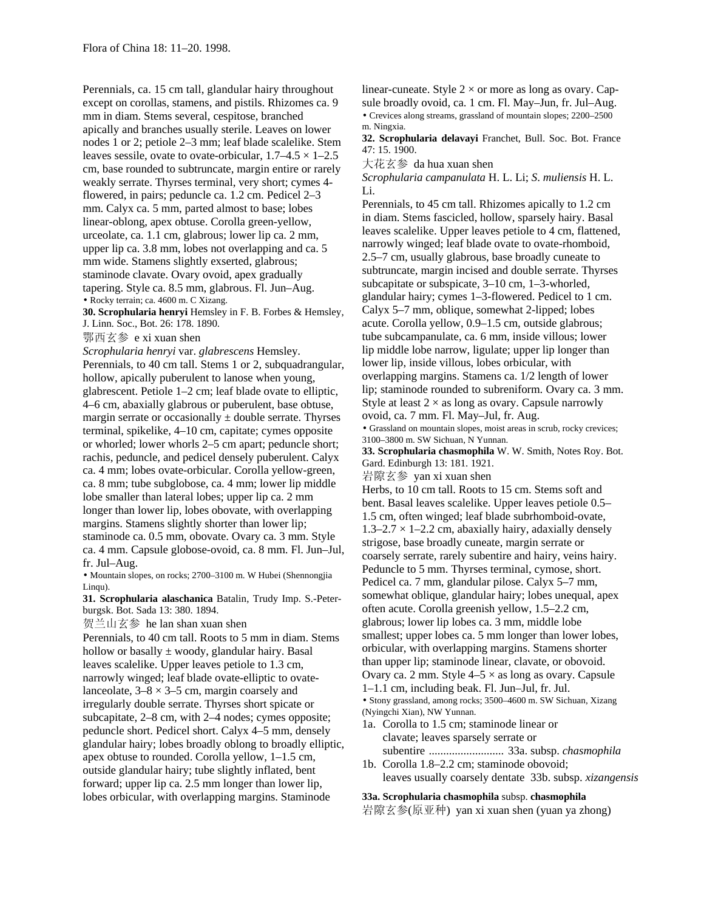Perennials, ca. 15 cm tall, glandular hairy throughout except on corollas, stamens, and pistils. Rhizomes ca. 9 mm in diam. Stems several, cespitose, branched apically and branches usually sterile. Leaves on lower nodes 1 or 2; petiole 2–3 mm; leaf blade scalelike. Stem leaves sessile, ovate to ovate-orbicular,  $1.7-4.5 \times 1-2.5$ cm, base rounded to subtruncate, margin entire or rarely weakly serrate. Thyrses terminal, very short; cymes 4 flowered, in pairs; peduncle ca. 1.2 cm. Pedicel 2–3 mm. Calyx ca. 5 mm, parted almost to base; lobes linear-oblong, apex obtuse. Corolla green-yellow, urceolate, ca. 1.1 cm, glabrous; lower lip ca. 2 mm, upper lip ca. 3.8 mm, lobes not overlapping and ca. 5 mm wide. Stamens slightly exserted, glabrous; staminode clavate. Ovary ovoid, apex gradually tapering. Style ca. 8.5 mm, glabrous. Fl. Jun–Aug. • Rocky terrain; ca. 4600 m. C Xizang.

**30. Scrophularia henryi** Hemsley in F. B. Forbes & Hemsley, J. Linn. Soc., Bot. 26: 178. 1890.

鄂西玄参 e xi xuan shen

*Scrophularia henryi* var. *glabrescens* Hemsley. Perennials, to 40 cm tall. Stems 1 or 2, subquadrangular, hollow, apically puberulent to lanose when young, glabrescent. Petiole 1–2 cm; leaf blade ovate to elliptic, 4–6 cm, abaxially glabrous or puberulent, base obtuse, margin serrate or occasionally  $\pm$  double serrate. Thyrses terminal, spikelike, 4–10 cm, capitate; cymes opposite or whorled; lower whorls 2–5 cm apart; peduncle short; rachis, peduncle, and pedicel densely puberulent. Calyx ca. 4 mm; lobes ovate-orbicular. Corolla yellow-green, ca. 8 mm; tube subglobose, ca. 4 mm; lower lip middle lobe smaller than lateral lobes; upper lip ca. 2 mm longer than lower lip, lobes obovate, with overlapping margins. Stamens slightly shorter than lower lip; staminode ca. 0.5 mm, obovate. Ovary ca. 3 mm. Style ca. 4 mm. Capsule globose-ovoid, ca. 8 mm. Fl. Jun–Jul, fr. Jul–Aug.

• Mountain slopes, on rocks; 2700–3100 m. W Hubei (Shennongjia Linqu).

**31. Scrophularia alaschanica** Batalin, Trudy Imp. S.-Peterburgsk. Bot. Sada 13: 380. 1894.

贺兰山玄参 he lan shan xuan shen

Perennials, to 40 cm tall. Roots to 5 mm in diam. Stems hollow or basally  $\pm$  woody, glandular hairy. Basal leaves scalelike. Upper leaves petiole to 1.3 cm, narrowly winged; leaf blade ovate-elliptic to ovatelanceolate,  $3-8 \times 3-5$  cm, margin coarsely and irregularly double serrate. Thyrses short spicate or subcapitate, 2–8 cm, with 2–4 nodes; cymes opposite; peduncle short. Pedicel short. Calyx 4–5 mm, densely glandular hairy; lobes broadly oblong to broadly elliptic, apex obtuse to rounded. Corolla yellow, 1–1.5 cm, outside glandular hairy; tube slightly inflated, bent forward; upper lip ca. 2.5 mm longer than lower lip, lobes orbicular, with overlapping margins. Staminode

linear-cuneate. Style  $2 \times$  or more as long as ovary. Capsule broadly ovoid, ca. 1 cm. Fl. May–Jun, fr. Jul–Aug. • Crevices along streams, grassland of mountain slopes; 2200–2500

m. Ningxia. **32. Scrophularia delavayi** Franchet, Bull. Soc. Bot. France 47: 15. 1900.

大花玄参 da hua xuan shen

*Scrophularia campanulata* H. L. Li; *S*. *muliensis* H. L. Li.

Perennials, to 45 cm tall. Rhizomes apically to 1.2 cm in diam. Stems fascicled, hollow, sparsely hairy. Basal leaves scalelike. Upper leaves petiole to 4 cm, flattened, narrowly winged; leaf blade ovate to ovate-rhomboid, 2.5–7 cm, usually glabrous, base broadly cuneate to subtruncate, margin incised and double serrate. Thyrses subcapitate or subspicate, 3–10 cm, 1–3-whorled, glandular hairy; cymes 1–3-flowered. Pedicel to 1 cm. Calyx 5–7 mm, oblique, somewhat 2-lipped; lobes acute. Corolla yellow, 0.9–1.5 cm, outside glabrous; tube subcampanulate, ca. 6 mm, inside villous; lower lip middle lobe narrow, ligulate; upper lip longer than lower lip, inside villous, lobes orbicular, with overlapping margins. Stamens ca. 1/2 length of lower lip; staminode rounded to subreniform. Ovary ca. 3 mm. Style at least  $2 \times$  as long as ovary. Capsule narrowly ovoid, ca. 7 mm. Fl. May–Jul, fr. Aug.

• Grassland on mountain slopes, moist areas in scrub, rocky crevices; 3100–3800 m. SW Sichuan, N Yunnan.

**33. Scrophularia chasmophila** W. W. Smith, Notes Roy. Bot. Gard. Edinburgh 13: 181. 1921.

岩隙玄参 yan xi xuan shen

Herbs, to 10 cm tall. Roots to 15 cm. Stems soft and bent. Basal leaves scalelike. Upper leaves petiole 0.5– 1.5 cm, often winged; leaf blade subrhomboid-ovate,  $1.3-2.7 \times 1-2.2$  cm, abaxially hairy, adaxially densely strigose, base broadly cuneate, margin serrate or coarsely serrate, rarely subentire and hairy, veins hairy. Peduncle to 5 mm. Thyrses terminal, cymose, short. Pedicel ca. 7 mm, glandular pilose. Calyx 5–7 mm, somewhat oblique, glandular hairy; lobes unequal, apex often acute. Corolla greenish yellow, 1.5–2.2 cm, glabrous; lower lip lobes ca. 3 mm, middle lobe smallest; upper lobes ca. 5 mm longer than lower lobes, orbicular, with overlapping margins. Stamens shorter than upper lip; staminode linear, clavate, or obovoid. Ovary ca. 2 mm. Style  $4-5 \times$  as long as ovary. Capsule 1–1.1 cm, including beak. Fl. Jun–Jul, fr. Jul. • Stony grassland, among rocks; 3500–4600 m. SW Sichuan, Xizang (Nyingchi Xian), NW Yunnan.

- 1a. Corolla to 1.5 cm; staminode linear or clavate; leaves sparsely serrate or subentire .......................... 33a. subsp. *chasmophila*
- 1b. Corolla 1.8–2.2 cm; staminode obovoid; leaves usually coarsely dentate 33b. subsp. *xizangensis*

**33a. Scrophularia chasmophila** subsp. **chasmophila** 岩隙玄参(原亚种) yan xi xuan shen (yuan ya zhong)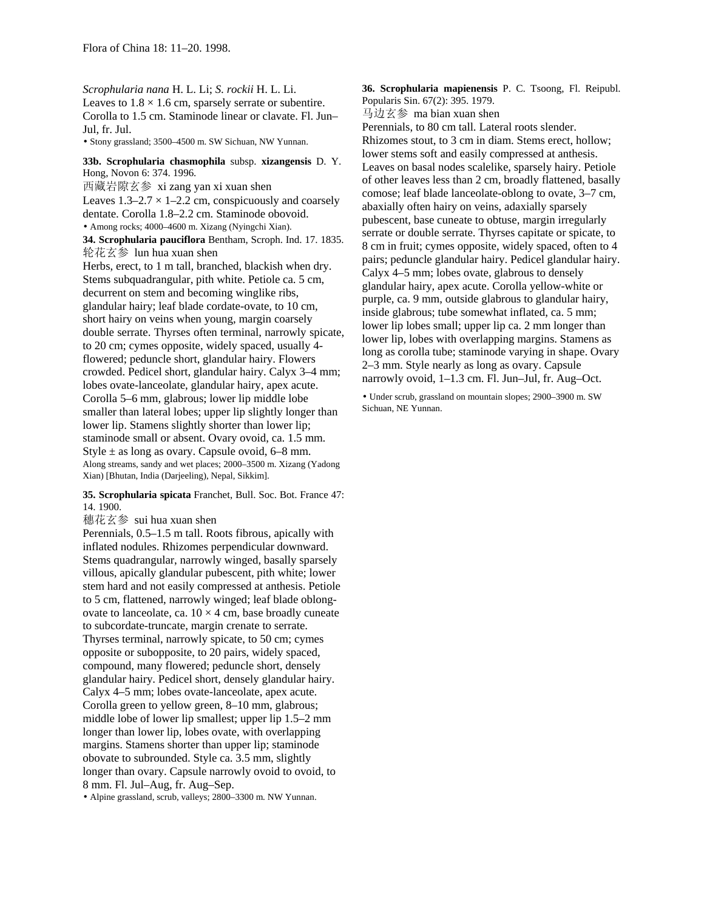*Scrophularia nana* H. L. Li; *S*. *rockii* H. L. Li. Leaves to  $1.8 \times 1.6$  cm, sparsely serrate or subentire. Corolla to 1.5 cm. Staminode linear or clavate. Fl. Jun– Jul, fr. Jul.

• Stony grassland; 3500–4500 m. SW Sichuan, NW Yunnan.

**33b. Scrophularia chasmophila** subsp. **xizangensis** D. Y. Hong, Novon 6: 374. 1996.

西藏岩隙玄参 xi zang yan xi xuan shen Leaves  $1.3-2.7 \times 1-2.2$  cm, conspicuously and coarsely dentate. Corolla 1.8–2.2 cm. Staminode obovoid. • Among rocks; 4000–4600 m. Xizang (Nyingchi Xian).

**34. Scrophularia pauciflora** Bentham, Scroph. Ind. 17. 1835. 轮花玄参 lun hua xuan shen

Herbs, erect, to 1 m tall, branched, blackish when dry. Stems subquadrangular, pith white. Petiole ca. 5 cm, decurrent on stem and becoming winglike ribs, glandular hairy; leaf blade cordate-ovate, to 10 cm, short hairy on veins when young, margin coarsely double serrate. Thyrses often terminal, narrowly spicate, to 20 cm; cymes opposite, widely spaced, usually 4 flowered; peduncle short, glandular hairy. Flowers crowded. Pedicel short, glandular hairy. Calyx 3–4 mm; lobes ovate-lanceolate, glandular hairy, apex acute. Corolla 5–6 mm, glabrous; lower lip middle lobe smaller than lateral lobes; upper lip slightly longer than lower lip. Stamens slightly shorter than lower lip; staminode small or absent. Ovary ovoid, ca. 1.5 mm. Style  $\pm$  as long as ovary. Capsule ovoid, 6–8 mm. Along streams, sandy and wet places; 2000–3500 m. Xizang (Yadong Xian) [Bhutan, India (Darjeeling), Nepal, Sikkim].

### **35. Scrophularia spicata** Franchet, Bull. Soc. Bot. France 47: 14. 1900.

穗花玄参 sui hua xuan shen

Perennials, 0.5–1.5 m tall. Roots fibrous, apically with inflated nodules. Rhizomes perpendicular downward. Stems quadrangular, narrowly winged, basally sparsely villous, apically glandular pubescent, pith white; lower stem hard and not easily compressed at anthesis. Petiole to 5 cm, flattened, narrowly winged; leaf blade oblongovate to lanceolate, ca.  $10 \times 4$  cm, base broadly cuneate to subcordate-truncate, margin crenate to serrate. Thyrses terminal, narrowly spicate, to 50 cm; cymes opposite or subopposite, to 20 pairs, widely spaced, compound, many flowered; peduncle short, densely glandular hairy. Pedicel short, densely glandular hairy. Calyx 4–5 mm; lobes ovate-lanceolate, apex acute. Corolla green to yellow green, 8–10 mm, glabrous; middle lobe of lower lip smallest; upper lip 1.5–2 mm longer than lower lip, lobes ovate, with overlapping margins. Stamens shorter than upper lip; staminode obovate to subrounded. Style ca. 3.5 mm, slightly longer than ovary. Capsule narrowly ovoid to ovoid, to 8 mm. Fl. Jul–Aug, fr. Aug–Sep.

• Alpine grassland, scrub, valleys; 2800–3300 m. NW Yunnan.

**36. Scrophularia mapienensis** P. C. Tsoong, Fl. Reipubl. Popularis Sin. 67(2): 395. 1979.

马边玄参 ma bian xuan shen

Perennials, to 80 cm tall. Lateral roots slender. Rhizomes stout, to 3 cm in diam. Stems erect, hollow; lower stems soft and easily compressed at anthesis. Leaves on basal nodes scalelike, sparsely hairy. Petiole of other leaves less than 2 cm, broadly flattened, basally comose; leaf blade lanceolate-oblong to ovate, 3–7 cm, abaxially often hairy on veins, adaxially sparsely pubescent, base cuneate to obtuse, margin irregularly serrate or double serrate. Thyrses capitate or spicate, to 8 cm in fruit; cymes opposite, widely spaced, often to 4 pairs; peduncle glandular hairy. Pedicel glandular hairy. Calyx 4–5 mm; lobes ovate, glabrous to densely glandular hairy, apex acute. Corolla yellow-white or purple, ca. 9 mm, outside glabrous to glandular hairy, inside glabrous; tube somewhat inflated, ca. 5 mm; lower lip lobes small; upper lip ca. 2 mm longer than lower lip, lobes with overlapping margins. Stamens as long as corolla tube; staminode varying in shape. Ovary 2–3 mm. Style nearly as long as ovary. Capsule narrowly ovoid, 1–1.3 cm. Fl. Jun–Jul, fr. Aug–Oct.

• Under scrub, grassland on mountain slopes; 2900–3900 m. SW Sichuan, NE Yunnan.